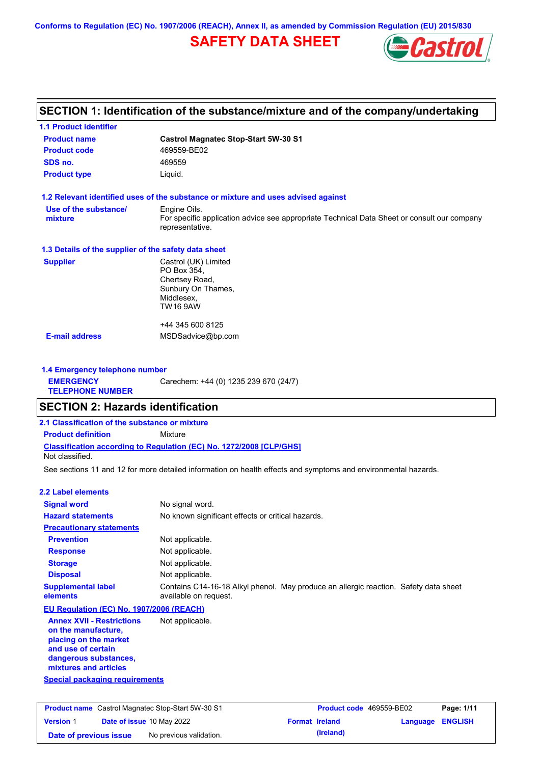**Conforms to Regulation (EC) No. 1907/2006 (REACH), Annex II, as amended by Commission Regulation (EU) 2015/830**

# **SAFETY DATA SHEET**



## **SECTION 1: Identification of the substance/mixture and of the company/undertaking**

| <b>1.1 Product identifier</b>                        |                                                                                                                |
|------------------------------------------------------|----------------------------------------------------------------------------------------------------------------|
| <b>Product name</b>                                  | <b>Castrol Magnatec Stop-Start 5W-30 S1</b>                                                                    |
| <b>Product code</b>                                  | 469559-BE02                                                                                                    |
| SDS no.                                              | 469559                                                                                                         |
| <b>Product type</b>                                  | Liquid.                                                                                                        |
|                                                      | 1.2 Relevant identified uses of the substance or mixture and uses advised against                              |
| Use of the substance/                                | Engine Oils.                                                                                                   |
| mixture                                              | For specific application advice see appropriate Technical Data Sheet or consult our company<br>representative. |
| 1.3 Details of the supplier of the safety data sheet |                                                                                                                |
| <b>Supplier</b>                                      | Castrol (UK) Limited<br>PO Box 354,<br>Chertsey Road,<br>Sunbury On Thames,<br>Middlesex,<br>TW16 9AW          |
|                                                      | +44 345 600 8125                                                                                               |
| <b>E-mail address</b>                                | MSDSadvice@bp.com                                                                                              |
|                                                      |                                                                                                                |

#### **1.4 Emergency telephone number EMERGENCY TELEPHONE NUMBER** Carechem: +44 (0) 1235 239 670 (24/7)

### **SECTION 2: Hazards identification**

### **Classification according to Regulation (EC) No. 1272/2008 [CLP/GHS] 2.1 Classification of the substance or mixture Product definition** Mixture

Not classified.

See sections 11 and 12 for more detailed information on health effects and symptoms and environmental hazards.

#### **2.2 Label elements**

| <b>Signal word</b>                                                               | No signal word.                                                                                               |
|----------------------------------------------------------------------------------|---------------------------------------------------------------------------------------------------------------|
| <b>Hazard statements</b>                                                         | No known significant effects or critical hazards.                                                             |
| <b>Precautionary statements</b>                                                  |                                                                                                               |
| <b>Prevention</b>                                                                | Not applicable.                                                                                               |
| <b>Response</b>                                                                  | Not applicable.                                                                                               |
| <b>Storage</b>                                                                   | Not applicable.                                                                                               |
| <b>Disposal</b>                                                                  | Not applicable.                                                                                               |
| <b>Supplemental label</b><br>elements                                            | Contains C14-16-18 Alkyl phenol. May produce an allergic reaction. Safety data sheet<br>available on request. |
| EU Regulation (EC) No. 1907/2006 (REACH)                                         |                                                                                                               |
| <b>Annex XVII - Restrictions</b><br>on the manufacture,<br>nlacing on the market | Not applicable.                                                                                               |

#### **placing on the market and use of certain dangerous substances, mixtures and articles**

**Special packaging requirements**

| <b>Product name</b> Castrol Magnatec Stop-Start 5W-30 S1 |  | <b>Product code</b> 469559-BE02  |                       | Page: 1/11 |                         |  |
|----------------------------------------------------------|--|----------------------------------|-----------------------|------------|-------------------------|--|
| <b>Version 1</b>                                         |  | <b>Date of issue 10 May 2022</b> | <b>Format Ireland</b> |            | <b>Language ENGLISH</b> |  |
| Date of previous issue                                   |  | No previous validation.          |                       | (Ireland)  |                         |  |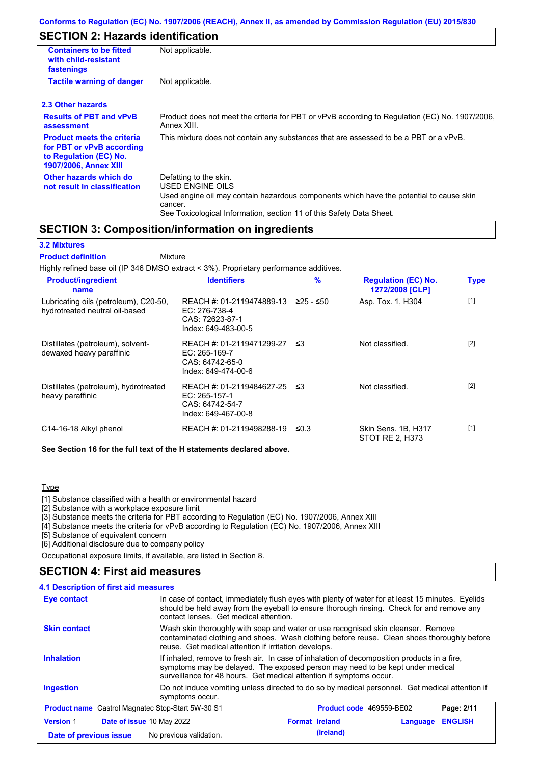# **SECTION 2: Hazards identification**

| <b>Containers to be fitted</b><br>with child-resistant<br>fastenings                                                     | Not applicable.                                                                                                                                                                                                          |
|--------------------------------------------------------------------------------------------------------------------------|--------------------------------------------------------------------------------------------------------------------------------------------------------------------------------------------------------------------------|
| <b>Tactile warning of danger</b>                                                                                         | Not applicable.                                                                                                                                                                                                          |
| 2.3 Other hazards                                                                                                        |                                                                                                                                                                                                                          |
| <b>Results of PBT and vPvB</b><br>assessment                                                                             | Product does not meet the criteria for PBT or vPvB according to Regulation (EC) No. 1907/2006,<br>Annex XIII.                                                                                                            |
| <b>Product meets the criteria</b><br>for PBT or vPvB according<br>to Regulation (EC) No.<br><b>1907/2006, Annex XIII</b> | This mixture does not contain any substances that are assessed to be a PBT or a vPvB.                                                                                                                                    |
| Other hazards which do<br>not result in classification                                                                   | Defatting to the skin.<br>USED ENGINE OILS<br>Used engine oil may contain hazardous components which have the potential to cause skin<br>cancer.<br>See Toxicological Information, section 11 of this Safety Data Sheet. |

## **SECTION 3: Composition/information on ingredients**

#### **3.2 Mixtures**

Mixture **Product definition**

| Highly refined base oil (IP 346 DMSO extract < 3%). Proprietary performance additives. |                                                                                        |             |                                               |             |
|----------------------------------------------------------------------------------------|----------------------------------------------------------------------------------------|-------------|-----------------------------------------------|-------------|
| <b>Product/ingredient</b><br>name                                                      | <b>Identifiers</b>                                                                     | %           | <b>Regulation (EC) No.</b><br>1272/2008 [CLP] | <b>Type</b> |
| Lubricating oils (petroleum), C20-50,<br>hydrotreated neutral oil-based                | REACH #: 01-2119474889-13<br>EC: 276-738-4<br>CAS: 72623-87-1<br>Index: 649-483-00-5   | $≥25 - ≤50$ | Asp. Tox. 1, H304                             | $[1]$       |
| Distillates (petroleum), solvent-<br>dewaxed heavy paraffinic                          | REACH #: 01-2119471299-27<br>EC: 265-169-7<br>CAS: 64742-65-0<br>Index: 649-474-00-6   | ≲3          | Not classified.                               | $[2]$       |
| Distillates (petroleum), hydrotreated<br>heavy paraffinic                              | REACH #: 01-2119484627-25<br>$EC: 265-157-1$<br>CAS: 64742-54-7<br>Index: 649-467-00-8 | ≲3          | Not classified.                               | $[2]$       |
| C14-16-18 Alkyl phenol                                                                 | REACH #: 01-2119498288-19                                                              | ≤0.3        | Skin Sens. 1B, H317<br>STOT RE 2, H373        | $[1]$       |

**See Section 16 for the full text of the H statements declared above.**

#### **Type**

[1] Substance classified with a health or environmental hazard

[2] Substance with a workplace exposure limit

[3] Substance meets the criteria for PBT according to Regulation (EC) No. 1907/2006, Annex XIII

[4] Substance meets the criteria for vPvB according to Regulation (EC) No. 1907/2006, Annex XIII

[5] Substance of equivalent concern

[6] Additional disclosure due to company policy

Occupational exposure limits, if available, are listed in Section 8.

### **SECTION 4: First aid measures**

| 4.1 Description of first aid measures                    |                                                                                                                                                                                                                                                     |                                                                                                                                                                                                                                        |          |                |  |
|----------------------------------------------------------|-----------------------------------------------------------------------------------------------------------------------------------------------------------------------------------------------------------------------------------------------------|----------------------------------------------------------------------------------------------------------------------------------------------------------------------------------------------------------------------------------------|----------|----------------|--|
| Eye contact                                              | In case of contact, immediately flush eyes with plenty of water for at least 15 minutes. Eyelids<br>should be held away from the eyeball to ensure thorough rinsing. Check for and remove any<br>contact lenses. Get medical attention.             |                                                                                                                                                                                                                                        |          |                |  |
| <b>Skin contact</b>                                      |                                                                                                                                                                                                                                                     | Wash skin thoroughly with soap and water or use recognised skin cleanser. Remove<br>contaminated clothing and shoes. Wash clothing before reuse. Clean shoes thoroughly before<br>reuse. Get medical attention if irritation develops. |          |                |  |
| <b>Inhalation</b>                                        | If inhaled, remove to fresh air. In case of inhalation of decomposition products in a fire,<br>symptoms may be delayed. The exposed person may need to be kept under medical<br>surveillance for 48 hours. Get medical attention if symptoms occur. |                                                                                                                                                                                                                                        |          |                |  |
| <b>Ingestion</b>                                         | Do not induce vomiting unless directed to do so by medical personnel. Get medical attention if<br>symptoms occur.                                                                                                                                   |                                                                                                                                                                                                                                        |          |                |  |
| <b>Product name</b> Castrol Magnatec Stop-Start 5W-30 S1 |                                                                                                                                                                                                                                                     | <b>Product code</b> 469559-BE02                                                                                                                                                                                                        |          | Page: 2/11     |  |
| <b>Version 1</b><br><b>Date of issue 10 May 2022</b>     |                                                                                                                                                                                                                                                     | <b>Format Ireland</b>                                                                                                                                                                                                                  | Language | <b>ENGLISH</b> |  |
| Date of previous issue                                   | No previous validation.                                                                                                                                                                                                                             | (Ireland)                                                                                                                                                                                                                              |          |                |  |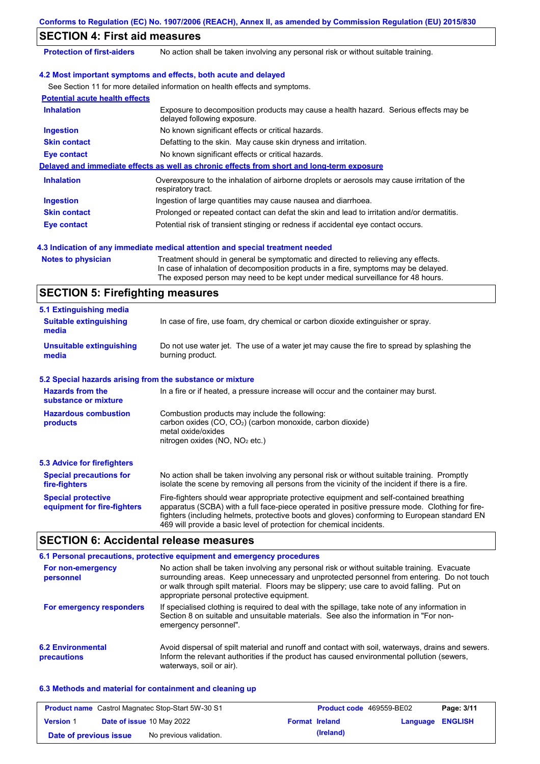| <b>SECTION 4: First aid measures</b>  |                                                                                                                     |
|---------------------------------------|---------------------------------------------------------------------------------------------------------------------|
| <b>Protection of first-aiders</b>     | No action shall be taken involving any personal risk or without suitable training.                                  |
|                                       | 4.2 Most important symptoms and effects, both acute and delayed                                                     |
|                                       | See Section 11 for more detailed information on health effects and symptoms.                                        |
| <b>Potential acute health effects</b> |                                                                                                                     |
| <b>Inhalation</b>                     | Exposure to decomposition products may cause a health hazard. Serious effects may be<br>delayed following exposure. |
| <b>Ingestion</b>                      | No known significant effects or critical hazards.                                                                   |
| <b>Skin contact</b>                   | Defatting to the skin. May cause skin dryness and irritation.                                                       |
| <b>Eye contact</b>                    | No known significant effects or critical hazards.                                                                   |
|                                       | Delayed and immediate effects as well as chronic effects from short and long-term exposure                          |
| <b>Inhalation</b>                     | Overexposure to the inhalation of airborne droplets or aerosols may cause irritation of the<br>respiratory tract.   |
| <b>Ingestion</b>                      | Ingestion of large quantities may cause nausea and diarrhoea.                                                       |
| <b>Skin contact</b>                   | Prolonged or repeated contact can defat the skin and lead to irritation and/or dermatitis.                          |
| <b>Eye contact</b>                    | Potential risk of transient stinging or redness if accidental eye contact occurs.                                   |

- 
- **Notes to physician** Treatment should in general be symptomatic and directed to relieving any effects. In case of inhalation of decomposition products in a fire, symptoms may be delayed. The exposed person may need to be kept under medical surveillance for 48 hours.

## **SECTION 5: Firefighting measures**

| 5.1 Extinguishing media                                   |                                                                                                                                                                                                                                                                                                                                                                   |
|-----------------------------------------------------------|-------------------------------------------------------------------------------------------------------------------------------------------------------------------------------------------------------------------------------------------------------------------------------------------------------------------------------------------------------------------|
| <b>Suitable extinguishing</b><br>media                    | In case of fire, use foam, dry chemical or carbon dioxide extinguisher or spray.                                                                                                                                                                                                                                                                                  |
| <b>Unsuitable extinguishing</b><br>media                  | Do not use water jet. The use of a water jet may cause the fire to spread by splashing the<br>burning product.                                                                                                                                                                                                                                                    |
| 5.2 Special hazards arising from the substance or mixture |                                                                                                                                                                                                                                                                                                                                                                   |
| <b>Hazards from the</b><br>substance or mixture           | In a fire or if heated, a pressure increase will occur and the container may burst.                                                                                                                                                                                                                                                                               |
| <b>Hazardous combustion</b><br>products                   | Combustion products may include the following:<br>carbon oxides (CO, CO <sub>2</sub> ) (carbon monoxide, carbon dioxide)<br>metal oxide/oxides<br>nitrogen oxides ( $NO$ , $NO2$ etc.)                                                                                                                                                                            |
| 5.3 Advice for firefighters                               |                                                                                                                                                                                                                                                                                                                                                                   |
| <b>Special precautions for</b><br>fire-fighters           | No action shall be taken involving any personal risk or without suitable training. Promptly<br>isolate the scene by removing all persons from the vicinity of the incident if there is a fire.                                                                                                                                                                    |
| <b>Special protective</b><br>equipment for fire-fighters  | Fire-fighters should wear appropriate protective equipment and self-contained breathing<br>apparatus (SCBA) with a full face-piece operated in positive pressure mode. Clothing for fire-<br>fighters (including helmets, protective boots and gloves) conforming to European standard EN<br>469 will provide a basic level of protection for chemical incidents. |

# **SECTION 6: Accidental release measures**

|                                         | 6.1 Personal precautions, protective equipment and emergency procedures                                                                                                                                                                                                                                                             |
|-----------------------------------------|-------------------------------------------------------------------------------------------------------------------------------------------------------------------------------------------------------------------------------------------------------------------------------------------------------------------------------------|
| For non-emergency<br>personnel          | No action shall be taken involving any personal risk or without suitable training. Evacuate<br>surrounding areas. Keep unnecessary and unprotected personnel from entering. Do not touch<br>or walk through spilt material. Floors may be slippery; use care to avoid falling. Put on<br>appropriate personal protective equipment. |
| For emergency responders                | If specialised clothing is required to deal with the spillage, take note of any information in<br>Section 8 on suitable and unsuitable materials. See also the information in "For non-<br>emergency personnel".                                                                                                                    |
| <b>6.2 Environmental</b><br>precautions | Avoid dispersal of spilt material and runoff and contact with soil, waterways, drains and sewers.<br>Inform the relevant authorities if the product has caused environmental pollution (sewers,<br>waterways, soil or air).                                                                                                         |

### **6.3 Methods and material for containment and cleaning up**

|                        | <b>Product name</b> Castrol Magnatec Stop-Start 5W-30 S1 |                       | <b>Product code</b> 469559-BE02 |                         | Page: 3/11 |
|------------------------|----------------------------------------------------------|-----------------------|---------------------------------|-------------------------|------------|
| <b>Version 1</b>       | <b>Date of issue 10 May 2022</b>                         | <b>Format Ireland</b> |                                 | <b>Language ENGLISH</b> |            |
| Date of previous issue | No previous validation.                                  |                       | (Ireland)                       |                         |            |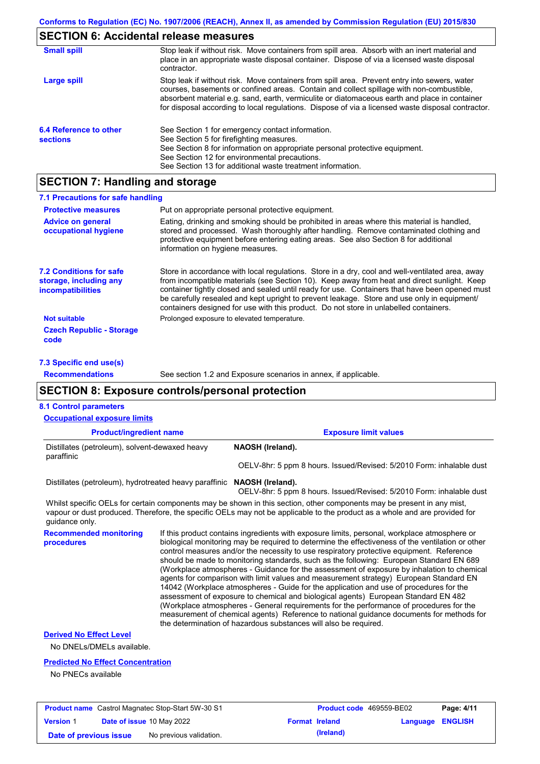# **SECTION 6: Accidental release measures**

| <b>Small spill</b>                        | Stop leak if without risk. Move containers from spill area. Absorb with an inert material and<br>place in an appropriate waste disposal container. Dispose of via a licensed waste disposal<br>contractor.                                                                                                                                                                                     |
|-------------------------------------------|------------------------------------------------------------------------------------------------------------------------------------------------------------------------------------------------------------------------------------------------------------------------------------------------------------------------------------------------------------------------------------------------|
| Large spill                               | Stop leak if without risk. Move containers from spill area. Prevent entry into sewers, water<br>courses, basements or confined areas. Contain and collect spillage with non-combustible,<br>absorbent material e.g. sand, earth, vermiculite or diatomaceous earth and place in container<br>for disposal according to local regulations. Dispose of via a licensed waste disposal contractor. |
| 6.4 Reference to other<br><b>sections</b> | See Section 1 for emergency contact information.<br>See Section 5 for firefighting measures.<br>See Section 8 for information on appropriate personal protective equipment.<br>See Section 12 for environmental precautions.<br>See Section 13 for additional waste treatment information.                                                                                                     |

# **SECTION 7: Handling and storage**

| 7.1 Precautions for safe handling                                                                                                                                                                                                                                                                                                                                    |                                                                                                                                                                                                                                                                                                                                                                                                                                                                                                                                                                                                                                                                                                                                                                                                                                                                                                                                                        |  |
|----------------------------------------------------------------------------------------------------------------------------------------------------------------------------------------------------------------------------------------------------------------------------------------------------------------------------------------------------------------------|--------------------------------------------------------------------------------------------------------------------------------------------------------------------------------------------------------------------------------------------------------------------------------------------------------------------------------------------------------------------------------------------------------------------------------------------------------------------------------------------------------------------------------------------------------------------------------------------------------------------------------------------------------------------------------------------------------------------------------------------------------------------------------------------------------------------------------------------------------------------------------------------------------------------------------------------------------|--|
| <b>Protective measures</b>                                                                                                                                                                                                                                                                                                                                           | Put on appropriate personal protective equipment.                                                                                                                                                                                                                                                                                                                                                                                                                                                                                                                                                                                                                                                                                                                                                                                                                                                                                                      |  |
| <b>Advice on general</b><br>Eating, drinking and smoking should be prohibited in areas where this material is handled,<br>stored and processed. Wash thoroughly after handling. Remove contaminated clothing and<br>occupational hygiene<br>protective equipment before entering eating areas. See also Section 8 for additional<br>information on hygiene measures. |                                                                                                                                                                                                                                                                                                                                                                                                                                                                                                                                                                                                                                                                                                                                                                                                                                                                                                                                                        |  |
| <b>7.2 Conditions for safe</b><br>storage, including any<br>incompatibilities                                                                                                                                                                                                                                                                                        | Store in accordance with local regulations. Store in a dry, cool and well-ventilated area, away<br>from incompatible materials (see Section 10). Keep away from heat and direct sunlight. Keep<br>container tightly closed and sealed until ready for use. Containers that have been opened must<br>be carefully resealed and kept upright to prevent leakage. Store and use only in equipment/<br>containers designed for use with this product. Do not store in unlabelled containers.                                                                                                                                                                                                                                                                                                                                                                                                                                                               |  |
| <b>Not suitable</b><br><b>Czech Republic - Storage</b><br>code                                                                                                                                                                                                                                                                                                       | Prolonged exposure to elevated temperature.                                                                                                                                                                                                                                                                                                                                                                                                                                                                                                                                                                                                                                                                                                                                                                                                                                                                                                            |  |
| 7.3 Specific end use(s)                                                                                                                                                                                                                                                                                                                                              |                                                                                                                                                                                                                                                                                                                                                                                                                                                                                                                                                                                                                                                                                                                                                                                                                                                                                                                                                        |  |
| <b>Recommendations</b>                                                                                                                                                                                                                                                                                                                                               | See section 1.2 and Exposure scenarios in annex, if applicable.                                                                                                                                                                                                                                                                                                                                                                                                                                                                                                                                                                                                                                                                                                                                                                                                                                                                                        |  |
|                                                                                                                                                                                                                                                                                                                                                                      | <b>SECTION 8: Exposure controls/personal protection</b>                                                                                                                                                                                                                                                                                                                                                                                                                                                                                                                                                                                                                                                                                                                                                                                                                                                                                                |  |
| <b>8.1 Control parameters</b>                                                                                                                                                                                                                                                                                                                                        |                                                                                                                                                                                                                                                                                                                                                                                                                                                                                                                                                                                                                                                                                                                                                                                                                                                                                                                                                        |  |
| <b>Occupational exposure limits</b>                                                                                                                                                                                                                                                                                                                                  |                                                                                                                                                                                                                                                                                                                                                                                                                                                                                                                                                                                                                                                                                                                                                                                                                                                                                                                                                        |  |
| <b>Product/ingredient name</b>                                                                                                                                                                                                                                                                                                                                       | <b>Exposure limit values</b>                                                                                                                                                                                                                                                                                                                                                                                                                                                                                                                                                                                                                                                                                                                                                                                                                                                                                                                           |  |
| Distillates (petroleum), solvent-dewaxed heavy<br>paraffinic                                                                                                                                                                                                                                                                                                         | NAOSH (Ireland).                                                                                                                                                                                                                                                                                                                                                                                                                                                                                                                                                                                                                                                                                                                                                                                                                                                                                                                                       |  |
|                                                                                                                                                                                                                                                                                                                                                                      | OELV-8hr: 5 ppm 8 hours. Issued/Revised: 5/2010 Form: inhalable dust                                                                                                                                                                                                                                                                                                                                                                                                                                                                                                                                                                                                                                                                                                                                                                                                                                                                                   |  |
|                                                                                                                                                                                                                                                                                                                                                                      | Distillates (petroleum), hydrotreated heavy paraffinic NAOSH (Ireland).<br>OELV-8hr: 5 ppm 8 hours. Issued/Revised: 5/2010 Form: inhalable dust                                                                                                                                                                                                                                                                                                                                                                                                                                                                                                                                                                                                                                                                                                                                                                                                        |  |
| guidance only.                                                                                                                                                                                                                                                                                                                                                       | Whilst specific OELs for certain components may be shown in this section, other components may be present in any mist,<br>vapour or dust produced. Therefore, the specific OELs may not be applicable to the product as a whole and are provided for                                                                                                                                                                                                                                                                                                                                                                                                                                                                                                                                                                                                                                                                                                   |  |
| <b>Recommended monitoring</b><br>procedures                                                                                                                                                                                                                                                                                                                          | If this product contains ingredients with exposure limits, personal, workplace atmosphere or<br>biological monitoring may be required to determine the effectiveness of the ventilation or other<br>control measures and/or the necessity to use respiratory protective equipment. Reference<br>should be made to monitoring standards, such as the following: European Standard EN 689<br>(Workplace atmospheres - Guidance for the assessment of exposure by inhalation to chemical<br>agents for comparison with limit values and measurement strategy) European Standard EN<br>14042 (Workplace atmospheres - Guide for the application and use of procedures for the<br>assessment of exposure to chemical and biological agents) European Standard EN 482<br>(Workplace atmospheres - General requirements for the performance of procedures for the<br>measurement of chemical agents) Reference to national guidance documents for methods for |  |

**Derived No Effect Level**

No DNELs/DMELs available.

#### **Predicted No Effect Concentration**

No PNECs available

| <b>Product name</b> Castrol Magnatec Stop-Start 5W-30 S1 |  |                                  | <b>Product code</b> 469559-BE02 | Page: 4/11 |                  |  |
|----------------------------------------------------------|--|----------------------------------|---------------------------------|------------|------------------|--|
| <b>Version 1</b>                                         |  | <b>Date of issue 10 May 2022</b> | <b>Format Ireland</b>           |            | Language ENGLISH |  |
| Date of previous issue                                   |  | No previous validation.          |                                 | (Ireland)  |                  |  |

the determination of hazardous substances will also be required.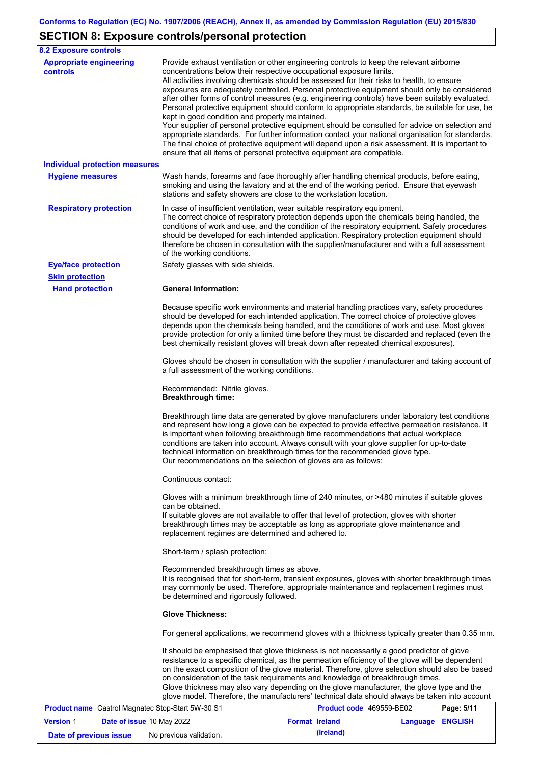# **SECTION 8: Exposure controls/personal protection**

| <b>8.2 Exposure controls</b>                         |                                                                                                                                                                                                                                                                                                                                                                                                                                                                                                                                                                                                                                                                                                                                                                                                                                                                                                                                                                                                         |
|------------------------------------------------------|---------------------------------------------------------------------------------------------------------------------------------------------------------------------------------------------------------------------------------------------------------------------------------------------------------------------------------------------------------------------------------------------------------------------------------------------------------------------------------------------------------------------------------------------------------------------------------------------------------------------------------------------------------------------------------------------------------------------------------------------------------------------------------------------------------------------------------------------------------------------------------------------------------------------------------------------------------------------------------------------------------|
| <b>Appropriate engineering</b><br><b>controls</b>    | Provide exhaust ventilation or other engineering controls to keep the relevant airborne<br>concentrations below their respective occupational exposure limits.<br>All activities involving chemicals should be assessed for their risks to health, to ensure<br>exposures are adequately controlled. Personal protective equipment should only be considered<br>after other forms of control measures (e.g. engineering controls) have been suitably evaluated.<br>Personal protective equipment should conform to appropriate standards, be suitable for use, be<br>kept in good condition and properly maintained.<br>Your supplier of personal protective equipment should be consulted for advice on selection and<br>appropriate standards. For further information contact your national organisation for standards.<br>The final choice of protective equipment will depend upon a risk assessment. It is important to<br>ensure that all items of personal protective equipment are compatible. |
| <b>Individual protection measures</b>                |                                                                                                                                                                                                                                                                                                                                                                                                                                                                                                                                                                                                                                                                                                                                                                                                                                                                                                                                                                                                         |
| <b>Hygiene measures</b>                              | Wash hands, forearms and face thoroughly after handling chemical products, before eating,<br>smoking and using the lavatory and at the end of the working period. Ensure that eyewash<br>stations and safety showers are close to the workstation location.                                                                                                                                                                                                                                                                                                                                                                                                                                                                                                                                                                                                                                                                                                                                             |
| <b>Respiratory protection</b>                        | In case of insufficient ventilation, wear suitable respiratory equipment.<br>The correct choice of respiratory protection depends upon the chemicals being handled, the<br>conditions of work and use, and the condition of the respiratory equipment. Safety procedures<br>should be developed for each intended application. Respiratory protection equipment should<br>therefore be chosen in consultation with the supplier/manufacturer and with a full assessment<br>of the working conditions.                                                                                                                                                                                                                                                                                                                                                                                                                                                                                                   |
| <b>Eye/face protection</b><br><b>Skin protection</b> | Safety glasses with side shields.                                                                                                                                                                                                                                                                                                                                                                                                                                                                                                                                                                                                                                                                                                                                                                                                                                                                                                                                                                       |
| <b>Hand protection</b>                               | <b>General Information:</b>                                                                                                                                                                                                                                                                                                                                                                                                                                                                                                                                                                                                                                                                                                                                                                                                                                                                                                                                                                             |
|                                                      | Because specific work environments and material handling practices vary, safety procedures<br>should be developed for each intended application. The correct choice of protective gloves<br>depends upon the chemicals being handled, and the conditions of work and use. Most gloves<br>provide protection for only a limited time before they must be discarded and replaced (even the<br>best chemically resistant gloves will break down after repeated chemical exposures).                                                                                                                                                                                                                                                                                                                                                                                                                                                                                                                        |
|                                                      | Gloves should be chosen in consultation with the supplier / manufacturer and taking account of<br>a full assessment of the working conditions.                                                                                                                                                                                                                                                                                                                                                                                                                                                                                                                                                                                                                                                                                                                                                                                                                                                          |
|                                                      | Recommended: Nitrile gloves.<br><b>Breakthrough time:</b>                                                                                                                                                                                                                                                                                                                                                                                                                                                                                                                                                                                                                                                                                                                                                                                                                                                                                                                                               |
|                                                      | Breakthrough time data are generated by glove manufacturers under laboratory test conditions<br>and represent how long a glove can be expected to provide effective permeation resistance. It<br>is important when following breakthrough time recommendations that actual workplace<br>conditions are taken into account. Always consult with your glove supplier for up-to-date<br>technical information on breakthrough times for the recommended glove type.<br>Our recommendations on the selection of gloves are as follows:                                                                                                                                                                                                                                                                                                                                                                                                                                                                      |
|                                                      | Continuous contact:                                                                                                                                                                                                                                                                                                                                                                                                                                                                                                                                                                                                                                                                                                                                                                                                                                                                                                                                                                                     |
|                                                      | Gloves with a minimum breakthrough time of 240 minutes, or >480 minutes if suitable gloves<br>can be obtained.<br>If suitable gloves are not available to offer that level of protection, gloves with shorter<br>breakthrough times may be acceptable as long as appropriate glove maintenance and<br>replacement regimes are determined and adhered to.                                                                                                                                                                                                                                                                                                                                                                                                                                                                                                                                                                                                                                                |
|                                                      | Short-term / splash protection:                                                                                                                                                                                                                                                                                                                                                                                                                                                                                                                                                                                                                                                                                                                                                                                                                                                                                                                                                                         |
|                                                      | Recommended breakthrough times as above.<br>It is recognised that for short-term, transient exposures, gloves with shorter breakthrough times<br>may commonly be used. Therefore, appropriate maintenance and replacement regimes must<br>be determined and rigorously followed.                                                                                                                                                                                                                                                                                                                                                                                                                                                                                                                                                                                                                                                                                                                        |
|                                                      | <b>Glove Thickness:</b>                                                                                                                                                                                                                                                                                                                                                                                                                                                                                                                                                                                                                                                                                                                                                                                                                                                                                                                                                                                 |
|                                                      | For general applications, we recommend gloves with a thickness typically greater than 0.35 mm.                                                                                                                                                                                                                                                                                                                                                                                                                                                                                                                                                                                                                                                                                                                                                                                                                                                                                                          |
|                                                      | It should be emphasised that glove thickness is not necessarily a good predictor of glove<br>resistance to a specific chemical, as the permeation efficiency of the glove will be dependent<br>on the exact composition of the glove material. Therefore, glove selection should also be based<br>on consideration of the task requirements and knowledge of breakthrough times.<br>Glove thickness may also vary depending on the glove manufacturer, the glove type and the<br>glove model. Therefore, the manufacturers' technical data should always be taken into account                                                                                                                                                                                                                                                                                                                                                                                                                          |
| Product name Castrol Magnatec Stop-Start 5W-30 S1    | Product code 469559-BE02<br>Page: 5/11                                                                                                                                                                                                                                                                                                                                                                                                                                                                                                                                                                                                                                                                                                                                                                                                                                                                                                                                                                  |

| <b>Version 1</b>       | Date of issue 10 May 2022 |                         | <b>Format Ireland</b> | <b>Language ENGLISH</b> |  |
|------------------------|---------------------------|-------------------------|-----------------------|-------------------------|--|
| Date of previous issue |                           | No previous validation. | (Ireland)             |                         |  |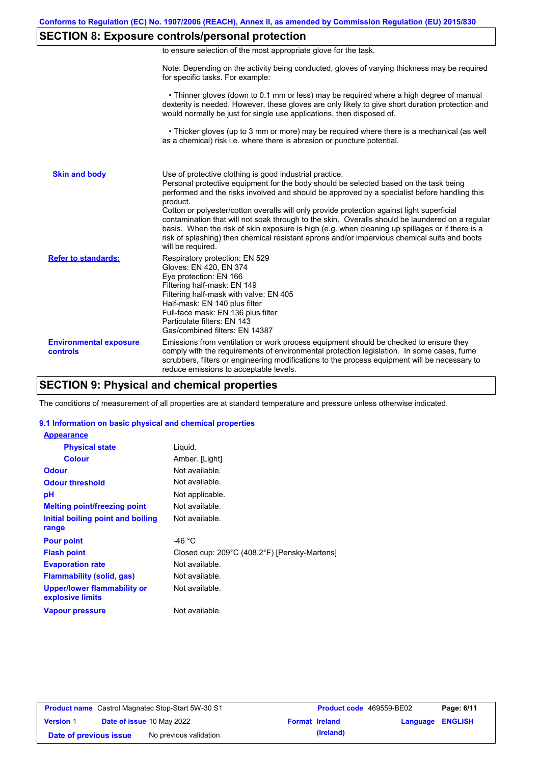### **SECTION 8: Exposure controls/personal protection**

| to ensure selection of the most appropriate glove for the task. |  |  |  |  |
|-----------------------------------------------------------------|--|--|--|--|
|                                                                 |  |  |  |  |

Note: Depending on the activity being conducted, gloves of varying thickness may be required for specific tasks. For example:

 • Thinner gloves (down to 0.1 mm or less) may be required where a high degree of manual dexterity is needed. However, these gloves are only likely to give short duration protection and would normally be just for single use applications, then disposed of.

 • Thicker gloves (up to 3 mm or more) may be required where there is a mechanical (as well as a chemical) risk i.e. where there is abrasion or puncture potential.

| <b>Skin and body</b>                             | Use of protective clothing is good industrial practice.<br>Personal protective equipment for the body should be selected based on the task being<br>performed and the risks involved and should be approved by a specialist before handling this<br>product.<br>Cotton or polyester/cotton overalls will only provide protection against light superficial<br>contamination that will not soak through to the skin. Overalls should be laundered on a regular<br>basis. When the risk of skin exposure is high (e.g. when cleaning up spillages or if there is a<br>risk of splashing) then chemical resistant aprons and/or impervious chemical suits and boots<br>will be required. |
|--------------------------------------------------|---------------------------------------------------------------------------------------------------------------------------------------------------------------------------------------------------------------------------------------------------------------------------------------------------------------------------------------------------------------------------------------------------------------------------------------------------------------------------------------------------------------------------------------------------------------------------------------------------------------------------------------------------------------------------------------|
| <b>Refer to standards:</b>                       | Respiratory protection: EN 529<br>Gloves: EN 420, EN 374<br>Eye protection: EN 166<br>Filtering half-mask: EN 149<br>Filtering half-mask with valve: EN 405<br>Half-mask: EN 140 plus filter<br>Full-face mask: EN 136 plus filter<br>Particulate filters: EN 143<br>Gas/combined filters: EN 14387                                                                                                                                                                                                                                                                                                                                                                                   |
| <b>Environmental exposure</b><br><b>controls</b> | Emissions from ventilation or work process equipment should be checked to ensure they<br>comply with the requirements of environmental protection legislation. In some cases, fume<br>scrubbers, filters or engineering modifications to the process equipment will be necessary to<br>reduce emissions to acceptable levels.                                                                                                                                                                                                                                                                                                                                                         |

### **SECTION 9: Physical and chemical properties**

The conditions of measurement of all properties are at standard temperature and pressure unless otherwise indicated.

### **9.1 Information on basic physical and chemical properties**

| <b>Appearance</b>                                      |                                              |
|--------------------------------------------------------|----------------------------------------------|
| <b>Physical state</b>                                  | Liquid.                                      |
| <b>Colour</b>                                          | Amber. [Light]                               |
| <b>Odour</b>                                           | Not available.                               |
| <b>Odour threshold</b>                                 | Not available.                               |
| рH                                                     | Not applicable.                              |
| <b>Melting point/freezing point</b>                    | Not available.                               |
| Initial boiling point and boiling                      | Not available.                               |
| range                                                  |                                              |
| <b>Pour point</b>                                      | -46 $^{\circ}$ C                             |
| <b>Flash point</b>                                     | Closed cup: 209°C (408.2°F) [Pensky-Martens] |
| <b>Evaporation rate</b>                                | Not available.                               |
| <b>Flammability (solid, gas)</b>                       | Not available.                               |
| <b>Upper/lower flammability or</b><br>explosive limits | Not available.                               |
| <b>Vapour pressure</b>                                 | Not available.                               |

| <b>Product name</b> Castrol Magnatec Stop-Start 5W-30 S1 |  |                                  | <b>Product code</b> 469559-BE02 |                       | Page: 6/11              |  |
|----------------------------------------------------------|--|----------------------------------|---------------------------------|-----------------------|-------------------------|--|
| <b>Version 1</b>                                         |  | <b>Date of issue 10 May 2022</b> |                                 | <b>Format Ireland</b> | <b>Language ENGLISH</b> |  |
| Date of previous issue                                   |  | No previous validation.          |                                 | (Ireland)             |                         |  |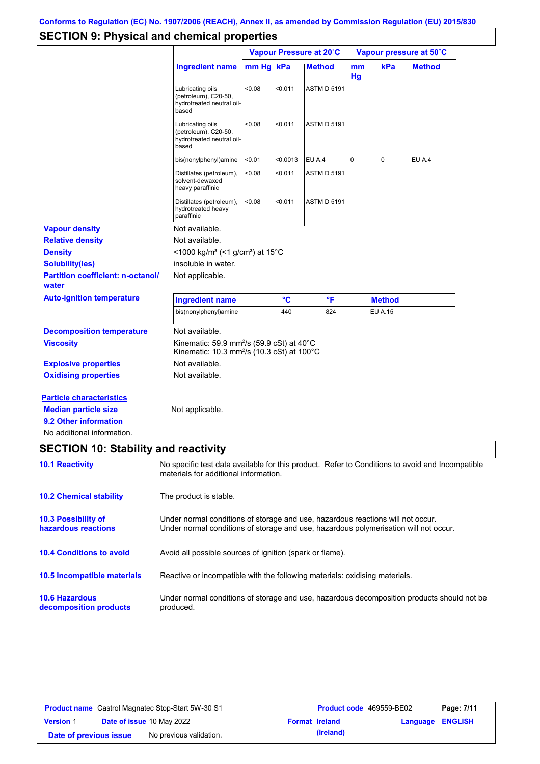# **SECTION 9: Physical and chemical properties**

|                                                                |                                                                                                                                                                         | Vapour Pressure at 20°C |          |                    | Vapour pressure at 50°C |                |               |
|----------------------------------------------------------------|-------------------------------------------------------------------------------------------------------------------------------------------------------------------------|-------------------------|----------|--------------------|-------------------------|----------------|---------------|
|                                                                | <b>Ingredient name</b>                                                                                                                                                  | mm Hg kPa               |          | <b>Method</b>      | mm<br>Hg                | kPa            | <b>Method</b> |
|                                                                | Lubricating oils<br>(petroleum), C20-50,<br>hydrotreated neutral oil-<br>based                                                                                          | <0.08                   | < 0.011  | <b>ASTM D 5191</b> |                         |                |               |
|                                                                | Lubricating oils<br>(petroleum), C20-50,<br>hydrotreated neutral oil-<br>based                                                                                          | < 0.08                  | < 0.011  | <b>ASTM D 5191</b> |                         |                |               |
|                                                                | bis(nonylphenyl)amine                                                                                                                                                   | < 0.01                  | < 0.0013 | EU A.4             | 0                       | 0              | EU A.4        |
|                                                                | Distillates (petroleum),<br>solvent-dewaxed<br>heavy paraffinic                                                                                                         | < 0.08                  | < 0.011  | <b>ASTM D 5191</b> |                         |                |               |
|                                                                | Distillates (petroleum),<br>hydrotreated heavy<br>paraffinic                                                                                                            | < 0.08                  | < 0.011  | <b>ASTM D 5191</b> |                         |                |               |
| <b>Vapour density</b>                                          | Not available.                                                                                                                                                          |                         |          |                    |                         |                |               |
| <b>Relative density</b>                                        | Not available.                                                                                                                                                          |                         |          |                    |                         |                |               |
| <b>Density</b>                                                 | <1000 kg/m <sup>3</sup> (<1 g/cm <sup>3</sup> ) at 15 <sup>°</sup> C                                                                                                    |                         |          |                    |                         |                |               |
| <b>Solubility(ies)</b>                                         | insoluble in water.                                                                                                                                                     |                         |          |                    |                         |                |               |
| <b>Partition coefficient: n-octanol/</b><br>water              | Not applicable.                                                                                                                                                         |                         |          |                    |                         |                |               |
| <b>Auto-ignition temperature</b>                               | <b>Ingredient name</b>                                                                                                                                                  |                         | °C       | °F                 |                         | <b>Method</b>  |               |
|                                                                | bis(nonylphenyl)amine                                                                                                                                                   |                         | 440      | 824                |                         | <b>EU A.15</b> |               |
| <b>Decomposition temperature</b>                               | Not available.                                                                                                                                                          |                         |          |                    |                         |                |               |
| <b>Viscosity</b>                                               | Kinematic: 59.9 mm <sup>2</sup> /s (59.9 cSt) at 40 $^{\circ}$ C<br>Kinematic: 10.3 mm <sup>2</sup> /s (10.3 cSt) at 100 $^{\circ}$ C                                   |                         |          |                    |                         |                |               |
| <b>Explosive properties</b>                                    | Not available.                                                                                                                                                          |                         |          |                    |                         |                |               |
| <b>Oxidising properties</b>                                    | Not available.                                                                                                                                                          |                         |          |                    |                         |                |               |
| <b>Particle characteristics</b><br><b>Median particle size</b> | Not applicable.                                                                                                                                                         |                         |          |                    |                         |                |               |
| 9.2 Other information                                          |                                                                                                                                                                         |                         |          |                    |                         |                |               |
| No additional information.                                     |                                                                                                                                                                         |                         |          |                    |                         |                |               |
| <b>SECTION 10: Stability and reactivity</b>                    |                                                                                                                                                                         |                         |          |                    |                         |                |               |
|                                                                |                                                                                                                                                                         |                         |          |                    |                         |                |               |
| <b>10.1 Reactivity</b>                                         | No specific test data available for this product. Refer to Conditions to avoid and Incompatible<br>materials for additional information.                                |                         |          |                    |                         |                |               |
| <b>10.2 Chemical stability</b>                                 | The product is stable.                                                                                                                                                  |                         |          |                    |                         |                |               |
| <b>10.3 Possibility of</b><br>hazardous reactions              | Under normal conditions of storage and use, hazardous reactions will not occur.<br>Under normal conditions of storage and use, hazardous polymerisation will not occur. |                         |          |                    |                         |                |               |
| <b>10.4 Conditions to avoid</b>                                | Avoid all possible sources of ignition (spark or flame).                                                                                                                |                         |          |                    |                         |                |               |
| 10.5 Incompatible materials                                    | Reactive or incompatible with the following materials: oxidising materials.                                                                                             |                         |          |                    |                         |                |               |
| <b>10.6 Hazardous</b><br>decomposition products                | Under normal conditions of storage and use, hazardous decomposition products should not be<br>produced.                                                                 |                         |          |                    |                         |                |               |

| <b>Product name</b> Castrol Magnatec Stop-Start 5W-30 S1 |  |                           | <b>Product code</b> 469559-BE02 | Page: 7/11            |                         |  |
|----------------------------------------------------------|--|---------------------------|---------------------------------|-----------------------|-------------------------|--|
| <b>Version 1</b>                                         |  | Date of issue 10 May 2022 |                                 | <b>Format Ireland</b> | <b>Language ENGLISH</b> |  |
| Date of previous issue                                   |  | No previous validation.   |                                 | (Ireland)             |                         |  |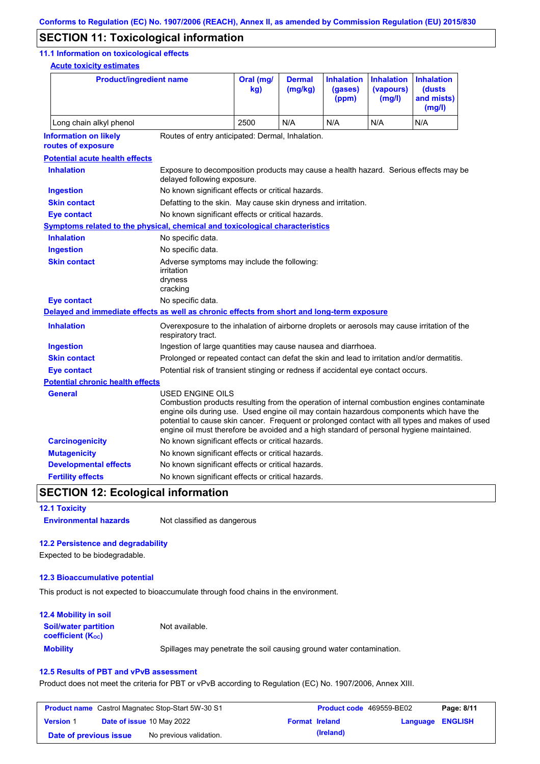### **SECTION 11: Toxicological information**

#### **11.1 Information on toxicological effects**

**Acute toxicity estimates**

| <b>Product/ingredient name</b>                                                             |                                                                                                                                                                                                                                                                                                                                                                                                          | Oral (mg/<br>kq | <b>Dermal</b><br>(mg/kg) | <b>Inhalation</b><br>(gases)<br>(ppm) | <b>Inhalation</b><br>(vapours)<br>(mg/l) | <b>Inhalation</b><br>(dusts)<br>and mists)<br>(mg/l) |
|--------------------------------------------------------------------------------------------|----------------------------------------------------------------------------------------------------------------------------------------------------------------------------------------------------------------------------------------------------------------------------------------------------------------------------------------------------------------------------------------------------------|-----------------|--------------------------|---------------------------------------|------------------------------------------|------------------------------------------------------|
| Long chain alkyl phenol                                                                    |                                                                                                                                                                                                                                                                                                                                                                                                          | 2500            | N/A                      | N/A                                   | N/A                                      | N/A                                                  |
| <b>Information on likely</b><br>routes of exposure                                         | Routes of entry anticipated: Dermal, Inhalation.                                                                                                                                                                                                                                                                                                                                                         |                 |                          |                                       |                                          |                                                      |
| <b>Potential acute health effects</b>                                                      |                                                                                                                                                                                                                                                                                                                                                                                                          |                 |                          |                                       |                                          |                                                      |
| <b>Inhalation</b>                                                                          | Exposure to decomposition products may cause a health hazard. Serious effects may be<br>delayed following exposure.                                                                                                                                                                                                                                                                                      |                 |                          |                                       |                                          |                                                      |
| <b>Ingestion</b>                                                                           | No known significant effects or critical hazards.                                                                                                                                                                                                                                                                                                                                                        |                 |                          |                                       |                                          |                                                      |
| <b>Skin contact</b>                                                                        | Defatting to the skin. May cause skin dryness and irritation.                                                                                                                                                                                                                                                                                                                                            |                 |                          |                                       |                                          |                                                      |
| <b>Eye contact</b>                                                                         | No known significant effects or critical hazards.                                                                                                                                                                                                                                                                                                                                                        |                 |                          |                                       |                                          |                                                      |
| Symptoms related to the physical, chemical and toxicological characteristics               |                                                                                                                                                                                                                                                                                                                                                                                                          |                 |                          |                                       |                                          |                                                      |
| <b>Inhalation</b>                                                                          | No specific data.                                                                                                                                                                                                                                                                                                                                                                                        |                 |                          |                                       |                                          |                                                      |
| <b>Ingestion</b>                                                                           | No specific data.                                                                                                                                                                                                                                                                                                                                                                                        |                 |                          |                                       |                                          |                                                      |
| <b>Skin contact</b>                                                                        | Adverse symptoms may include the following:<br>irritation<br>dryness<br>cracking                                                                                                                                                                                                                                                                                                                         |                 |                          |                                       |                                          |                                                      |
| <b>Eye contact</b>                                                                         | No specific data.                                                                                                                                                                                                                                                                                                                                                                                        |                 |                          |                                       |                                          |                                                      |
| Delayed and immediate effects as well as chronic effects from short and long-term exposure |                                                                                                                                                                                                                                                                                                                                                                                                          |                 |                          |                                       |                                          |                                                      |
| <b>Inhalation</b>                                                                          | Overexposure to the inhalation of airborne droplets or aerosols may cause irritation of the<br>respiratory tract.                                                                                                                                                                                                                                                                                        |                 |                          |                                       |                                          |                                                      |
| <b>Ingestion</b>                                                                           | Ingestion of large quantities may cause nausea and diarrhoea.                                                                                                                                                                                                                                                                                                                                            |                 |                          |                                       |                                          |                                                      |
| <b>Skin contact</b>                                                                        | Prolonged or repeated contact can defat the skin and lead to irritation and/or dermatitis.                                                                                                                                                                                                                                                                                                               |                 |                          |                                       |                                          |                                                      |
| <b>Eye contact</b>                                                                         | Potential risk of transient stinging or redness if accidental eye contact occurs.                                                                                                                                                                                                                                                                                                                        |                 |                          |                                       |                                          |                                                      |
| <b>Potential chronic health effects</b>                                                    |                                                                                                                                                                                                                                                                                                                                                                                                          |                 |                          |                                       |                                          |                                                      |
| <b>General</b>                                                                             | USED ENGINE OILS<br>Combustion products resulting from the operation of internal combustion engines contaminate<br>engine oils during use. Used engine oil may contain hazardous components which have the<br>potential to cause skin cancer. Frequent or prolonged contact with all types and makes of used<br>engine oil must therefore be avoided and a high standard of personal hygiene maintained. |                 |                          |                                       |                                          |                                                      |
| <b>Carcinogenicity</b>                                                                     | No known significant effects or critical hazards.                                                                                                                                                                                                                                                                                                                                                        |                 |                          |                                       |                                          |                                                      |
| <b>Mutagenicity</b>                                                                        | No known significant effects or critical hazards.                                                                                                                                                                                                                                                                                                                                                        |                 |                          |                                       |                                          |                                                      |
| <b>Developmental effects</b>                                                               | No known significant effects or critical hazards.                                                                                                                                                                                                                                                                                                                                                        |                 |                          |                                       |                                          |                                                      |
| <b>Fertility effects</b>                                                                   | No known significant effects or critical hazards.                                                                                                                                                                                                                                                                                                                                                        |                 |                          |                                       |                                          |                                                      |
|                                                                                            |                                                                                                                                                                                                                                                                                                                                                                                                          |                 |                          |                                       |                                          |                                                      |

## **SECTION 12: Ecological information**

**12.1 Toxicity Environmental hazards** Not classified as dangerous

### **12.2 Persistence and degradability**

Expected to be biodegradable.

#### **12.3 Bioaccumulative potential**

This product is not expected to bioaccumulate through food chains in the environment.

| <b>12.4 Mobility in soil</b>                                  |                                                                      |
|---------------------------------------------------------------|----------------------------------------------------------------------|
| <b>Soil/water partition</b><br>coefficient (K <sub>oc</sub> ) | Not available.                                                       |
| <b>Mobility</b>                                               | Spillages may penetrate the soil causing ground water contamination. |

#### **12.5 Results of PBT and vPvB assessment**

Product does not meet the criteria for PBT or vPvB according to Regulation (EC) No. 1907/2006, Annex XIII.

| <b>Product name</b> Castrol Magnatec Stop-Start 5W-30 S1 |  |                                  | <b>Product code</b> 469559-BE02 | Page: 8/11 |                         |  |
|----------------------------------------------------------|--|----------------------------------|---------------------------------|------------|-------------------------|--|
| <b>Version 1</b>                                         |  | <b>Date of issue 10 May 2022</b> | <b>Format Ireland</b>           |            | <b>Language ENGLISH</b> |  |
| Date of previous issue                                   |  | No previous validation.          |                                 | (Ireland)  |                         |  |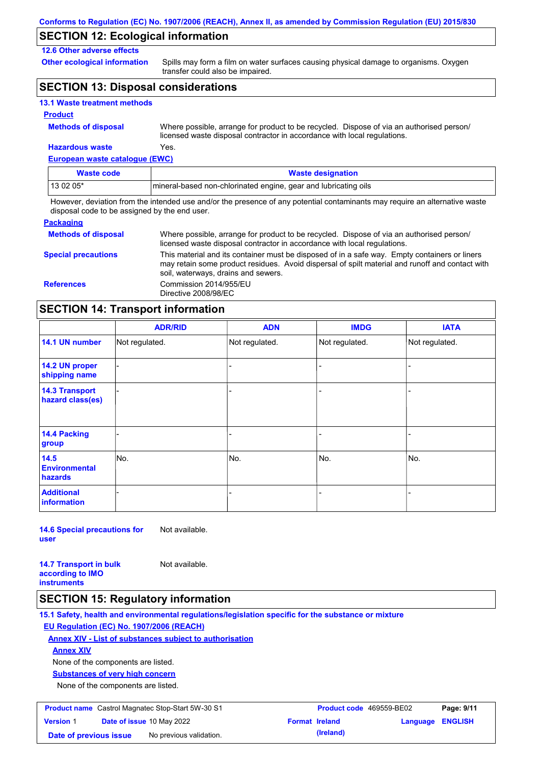### **SECTION 12: Ecological information**

### **12.6 Other adverse effects**

**Other ecological information**

Spills may form a film on water surfaces causing physical damage to organisms. Oxygen transfer could also be impaired.

## **SECTION 13: Disposal considerations**

|  |  | <b>13.1 Waste treatment methods</b> |  |
|--|--|-------------------------------------|--|
|--|--|-------------------------------------|--|

### **Product**

**Hazardous waste** Yes. Where possible, arrange for product to be recycled. Dispose of via an authorised person/ licensed waste disposal contractor in accordance with local regulations.

**European waste catalogue (EWC)**

| Waste code | <b>Waste designation</b>                                         |
|------------|------------------------------------------------------------------|
| 13 02 05*  | Imineral-based non-chlorinated engine, gear and lubricating oils |

However, deviation from the intended use and/or the presence of any potential contaminants may require an alternative waste disposal code to be assigned by the end user.

| <b>Packaging</b>           |                                                                                                                                                                                                                                         |
|----------------------------|-----------------------------------------------------------------------------------------------------------------------------------------------------------------------------------------------------------------------------------------|
| <b>Methods of disposal</b> | Where possible, arrange for product to be recycled. Dispose of via an authorised person/<br>licensed waste disposal contractor in accordance with local regulations.                                                                    |
| <b>Special precautions</b> | This material and its container must be disposed of in a safe way. Empty containers or liners<br>may retain some product residues. Avoid dispersal of spilt material and runoff and contact with<br>soil, waterways, drains and sewers. |
| <b>References</b>          | Commission 2014/955/EU<br>Directive 2008/98/EC                                                                                                                                                                                          |

### **SECTION 14: Transport information**

|                                           | <b>ADR/RID</b> | <b>ADN</b>     | <b>IMDG</b>    | <b>IATA</b>    |
|-------------------------------------------|----------------|----------------|----------------|----------------|
| 14.1 UN number                            | Not regulated. | Not regulated. | Not regulated. | Not regulated. |
| 14.2 UN proper<br>shipping name           |                |                |                |                |
| <b>14.3 Transport</b><br>hazard class(es) |                |                |                |                |
| <b>14.4 Packing</b><br>group              |                |                |                |                |
| 14.5<br><b>Environmental</b><br>hazards   | No.            | No.            | No.            | No.            |
| <b>Additional</b><br>information          |                |                |                |                |

**14.6 Special precautions for user** Not available.

**14.7 Transport in bulk according to IMO instruments** Not available.

### **SECTION 15: Regulatory information**

**15.1 Safety, health and environmental regulations/legislation specific for the substance or mixture EU Regulation (EC) No. 1907/2006 (REACH)**

#### **Annex XIV - List of substances subject to authorisation**

**Annex XIV**

None of the components are listed.

**Substances of very high concern**

None of the components are listed.

| <b>Product name</b> Castrol Magnatec Stop-Start 5W-30 S1 |  | <b>Product code</b> 469559-BE02 |  | Page: 9/11            |                         |  |
|----------------------------------------------------------|--|---------------------------------|--|-----------------------|-------------------------|--|
| <b>Version 1</b>                                         |  | Date of issue 10 May 2022       |  | <b>Format Ireland</b> | <b>Language ENGLISH</b> |  |
| Date of previous issue                                   |  | No previous validation.         |  | (Ireland)             |                         |  |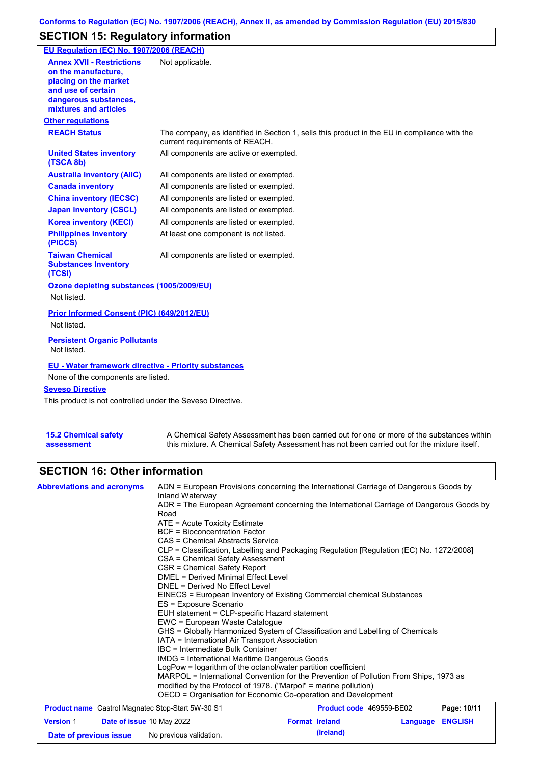## **SECTION 15: Regulatory information**

| EU Regulation (EC) No. 1907/2006 (REACH)                                                                                                                 |                                                                                                                                |
|----------------------------------------------------------------------------------------------------------------------------------------------------------|--------------------------------------------------------------------------------------------------------------------------------|
| <b>Annex XVII - Restrictions</b><br>on the manufacture.<br>placing on the market<br>and use of certain<br>dangerous substances,<br>mixtures and articles | Not applicable.                                                                                                                |
| <b>Other regulations</b>                                                                                                                                 |                                                                                                                                |
| <b>REACH Status</b>                                                                                                                                      | The company, as identified in Section 1, sells this product in the EU in compliance with the<br>current requirements of REACH. |
| <b>United States inventory</b><br>(TSCA 8b)                                                                                                              | All components are active or exempted.                                                                                         |
| <b>Australia inventory (AIIC)</b>                                                                                                                        | All components are listed or exempted.                                                                                         |
| <b>Canada inventory</b>                                                                                                                                  | All components are listed or exempted.                                                                                         |
| <b>China inventory (IECSC)</b>                                                                                                                           | All components are listed or exempted.                                                                                         |
| <b>Japan inventory (CSCL)</b>                                                                                                                            | All components are listed or exempted.                                                                                         |
| <b>Korea inventory (KECI)</b>                                                                                                                            | All components are listed or exempted.                                                                                         |
| <b>Philippines inventory</b><br>(PICCS)                                                                                                                  | At least one component is not listed.                                                                                          |
| <b>Taiwan Chemical</b><br><b>Substances Inventory</b><br>(TCSI)                                                                                          | All components are listed or exempted.                                                                                         |
| Ozone depleting substances (1005/2009/EU)<br>Not listed.                                                                                                 |                                                                                                                                |
| Prior Informed Consent (PIC) (649/2012/EU)<br>Not listed.                                                                                                |                                                                                                                                |
| <b>Persistent Organic Pollutants</b><br>Not listed.                                                                                                      |                                                                                                                                |
| <b>EU - Water framework directive - Priority substances</b><br>None of the components are listed.                                                        |                                                                                                                                |
| <b>Seveso Directive</b>                                                                                                                                  |                                                                                                                                |
| This product is not controlled under the Seveso Directive.                                                                                               |                                                                                                                                |
|                                                                                                                                                          |                                                                                                                                |

| <b>15.2 Chemical safety</b> |  |
|-----------------------------|--|
| assessment                  |  |

A Chemical Safety Assessment has been carried out for one or more of the substances within this mixture. A Chemical Safety Assessment has not been carried out for the mixture itself.

## **SECTION 16: Other information**

| <b>Abbreviations and acronyms</b>                                              | ADN = European Provisions concerning the International Carriage of Dangerous Goods by<br>Inland Waterway<br>ADR = The European Agreement concerning the International Carriage of Dangerous Goods by<br>Road<br>ATE = Acute Toxicity Estimate<br><b>BCF</b> = Bioconcentration Factor<br>CAS = Chemical Abstracts Service<br>CLP = Classification, Labelling and Packaging Regulation [Regulation (EC) No. 1272/2008]<br>CSA = Chemical Safety Assessment<br>CSR = Chemical Safety Report<br>DMEL = Derived Minimal Effect Level<br>DNEL = Derived No Effect Level<br>EINECS = European Inventory of Existing Commercial chemical Substances<br>ES = Exposure Scenario<br>EUH statement = CLP-specific Hazard statement<br>EWC = European Waste Catalogue<br>GHS = Globally Harmonized System of Classification and Labelling of Chemicals<br>IATA = International Air Transport Association<br>IBC = Intermediate Bulk Container<br>IMDG = International Maritime Dangerous Goods<br>LogPow = logarithm of the octanol/water partition coefficient |                                    |          |                |
|--------------------------------------------------------------------------------|-----------------------------------------------------------------------------------------------------------------------------------------------------------------------------------------------------------------------------------------------------------------------------------------------------------------------------------------------------------------------------------------------------------------------------------------------------------------------------------------------------------------------------------------------------------------------------------------------------------------------------------------------------------------------------------------------------------------------------------------------------------------------------------------------------------------------------------------------------------------------------------------------------------------------------------------------------------------------------------------------------------------------------------------------------|------------------------------------|----------|----------------|
|                                                                                | MARPOL = International Convention for the Prevention of Pollution From Ships, 1973 as<br>modified by the Protocol of 1978. ("Marpol" = marine pollution)<br>OECD = Organisation for Economic Co-operation and Development                                                                                                                                                                                                                                                                                                                                                                                                                                                                                                                                                                                                                                                                                                                                                                                                                           |                                    |          |                |
| <b>Product name</b> Castrol Magnatec Stop-Start 5W-30 S1                       |                                                                                                                                                                                                                                                                                                                                                                                                                                                                                                                                                                                                                                                                                                                                                                                                                                                                                                                                                                                                                                                     | Product code 469559-BE02           |          | Page: 10/11    |
| <b>Version 1</b><br><b>Date of issue 10 May 2022</b><br>Date of previous issue | No previous validation.                                                                                                                                                                                                                                                                                                                                                                                                                                                                                                                                                                                                                                                                                                                                                                                                                                                                                                                                                                                                                             | <b>Format Ireland</b><br>(Ireland) | Language | <b>ENGLISH</b> |